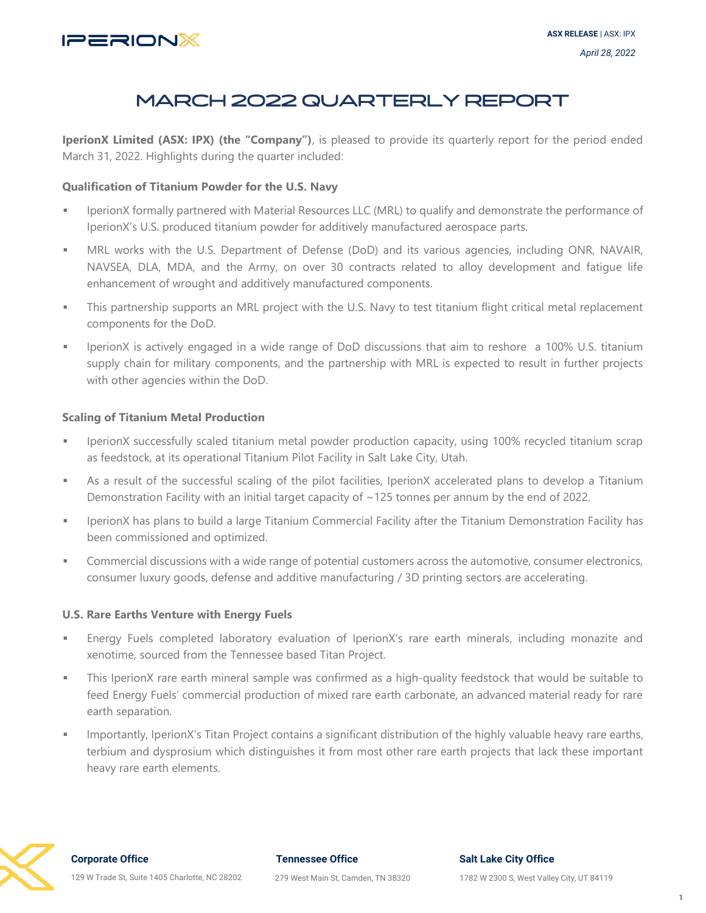

## MARCH 2022 QUARTERLY REPORT

**IperionX Limited (ASX: IPX) (the "Company")**, is pleased to provide its quarterly report for the period ended March 31, 2022. Highlights during the quarter included:

## **Qualification of Titanium Powder for the U.S. Navy**

- IperionX formally partnered with Material Resources LLC (MRL) to qualify and demonstrate the performance of IperionX's U.S. produced titanium powder for additively manufactured aerospace parts.
- MRL works with the U.S. Department of Defense (DoD) and its various agencies, including ONR, NAVAIR, NAVSEA, DLA, MDA, and the Army, on over 30 contracts related to alloy development and fatigue life enhancement of wrought and additively manufactured components.
- This partnership supports an MRL project with the U.S. Navy to test titanium flight critical metal replacement components for the DoD.
- IperionX is actively engaged in a wide range of DoD discussions that aim to reshore a 100% U.S. titanium supply chain for military components, and the partnership with MRL is expected to result in further projects with other agencies within the DoD.

## **Scaling of Titanium Metal Production**

- IperionX successfully scaled titanium metal powder production capacity, using 100% recycled titanium scrap as feedstock, at its operational Titanium Pilot Facility in Salt Lake City, Utah.
- As a result of the successful scaling of the pilot facilities, IperionX accelerated plans to develop a Titanium Demonstration Facility with an initial target capacity of  $\sim$  125 tonnes per annum by the end of 2022.
- IperionX has plans to build a large Titanium Commercial Facility after the Titanium Demonstration Facility has been commissioned and optimized.
- Commercial discussions with a wide range of potential customers across the automotive, consumer electronics, consumer luxury goods, defense and additive manufacturing / 3D printing sectors are accelerating.

### **U.S. Rare Earths Venture with Energy Fuels**

- **Energy Fuels completed laboratory evaluation of IperionX's rare earth minerals, including monazite and** xenotime, sourced from the Tennessee based Titan Project.
- This IperionX rare earth mineral sample was confirmed as a high-quality feedstock that would be suitable to feed Energy Fuels' commercial production of mixed rare earth carbonate, an advanced material ready for rare earth separation.
- Importantly, IperionX's Titan Project contains a significant distribution of the highly valuable heavy rare earths, terbium and dysprosium which distinguishes it from most other rare earth projects that lack these important heavy rare earth elements.

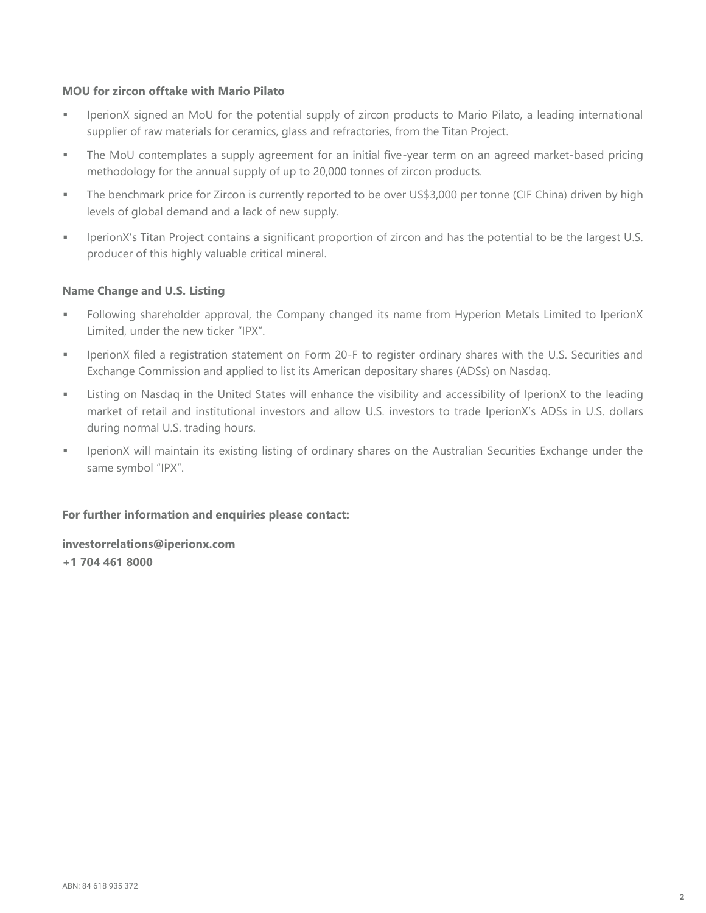#### **MOU for zircon offtake with Mario Pilato**

- IperionX signed an MoU for the potential supply of zircon products to Mario Pilato, a leading international supplier of raw materials for ceramics, glass and refractories, from the Titan Project.
- The MoU contemplates a supply agreement for an initial five-year term on an agreed market-based pricing methodology for the annual supply of up to 20,000 tonnes of zircon products.
- The benchmark price for Zircon is currently reported to be over US\$3,000 per tonne (CIF China) driven by high levels of global demand and a lack of new supply.
- IperionX's Titan Project contains a significant proportion of zircon and has the potential to be the largest U.S. producer of this highly valuable critical mineral.

### **Name Change and U.S. Listing**

- Following shareholder approval, the Company changed its name from Hyperion Metals Limited to IperionX Limited, under the new ticker "IPX".
- IperionX filed a registration statement on Form 20-F to register ordinary shares with the U.S. Securities and Exchange Commission and applied to list its American depositary shares (ADSs) on Nasdaq.
- **EXECT** Listing on Nasdaq in the United States will enhance the visibility and accessibility of IperionX to the leading market of retail and institutional investors and allow U.S. investors to trade IperionX's ADSs in U.S. dollars during normal U.S. trading hours.
- IperionX will maintain its existing listing of ordinary shares on the Australian Securities Exchange under the same symbol "IPX".

### **For further information and enquiries please contact:**

### **investorrelations@iperionx.com**

**+1 704 461 8000**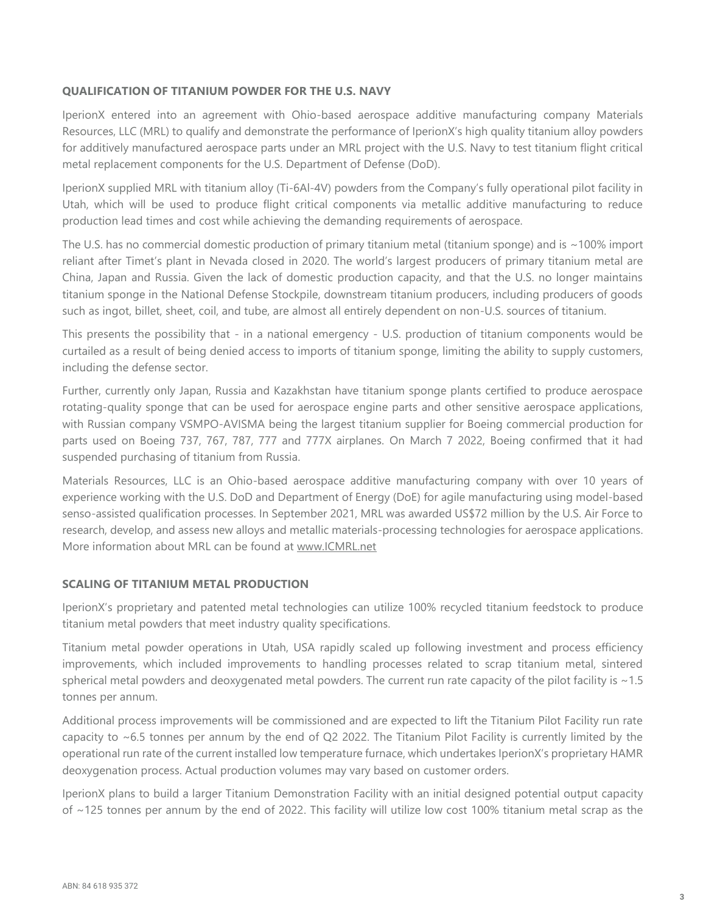#### **QUALIFICATION OF TITANIUM POWDER FOR THE U.S. NAVY**

IperionX entered into an agreement with Ohio-based aerospace additive manufacturing company Materials Resources, LLC (MRL) to qualify and demonstrate the performance of IperionX's high quality titanium alloy powders for additively manufactured aerospace parts under an MRL project with the U.S. Navy to test titanium flight critical metal replacement components for the U.S. Department of Defense (DoD).

IperionX supplied MRL with titanium alloy (Ti-6Al-4V) powders from the Company's fully operational pilot facility in Utah, which will be used to produce flight critical components via metallic additive manufacturing to reduce production lead times and cost while achieving the demanding requirements of aerospace.

The U.S. has no commercial domestic production of primary titanium metal (titanium sponge) and is ~100% import reliant after Timet's plant in Nevada closed in 2020. The world's largest producers of primary titanium metal are China, Japan and Russia. Given the lack of domestic production capacity, and that the U.S. no longer maintains titanium sponge in the National Defense Stockpile, downstream titanium producers, including producers of goods such as ingot, billet, sheet, coil, and tube, are almost all entirely dependent on non-U.S. sources of titanium.

This presents the possibility that - in a national emergency - U.S. production of titanium components would be curtailed as a result of being denied access to imports of titanium sponge, limiting the ability to supply customers, including the defense sector.

Further, currently only Japan, Russia and Kazakhstan have titanium sponge plants certified to produce aerospace rotating-quality sponge that can be used for aerospace engine parts and other sensitive aerospace applications, with Russian company VSMPO-AVISMA being the largest titanium supplier for Boeing commercial production for parts used on Boeing 737, 767, 787, 777 and 777X airplanes. On March 7 2022, Boeing confirmed that it had suspended purchasing of titanium from Russia.

Materials Resources, LLC is an Ohio-based aerospace additive manufacturing company with over 10 years of experience working with the U.S. DoD and Department of Energy (DoE) for agile manufacturing using model-based senso-assisted qualification processes. In September 2021, MRL was awarded US\$72 million by the U.S. Air Force to research, develop, and assess new alloys and metallic materials-processing technologies for aerospace applications. More information about MRL can be found at [www.ICMRL.net](http://www.icmrl.net/)

### **SCALING OF TITANIUM METAL PRODUCTION**

IperionX's proprietary and patented metal technologies can utilize 100% recycled titanium feedstock to produce titanium metal powders that meet industry quality specifications.

Titanium metal powder operations in Utah, USA rapidly scaled up following investment and process efficiency improvements, which included improvements to handling processes related to scrap titanium metal, sintered spherical metal powders and deoxygenated metal powders. The current run rate capacity of the pilot facility is  $~1.5$ tonnes per annum.

Additional process improvements will be commissioned and are expected to lift the Titanium Pilot Facility run rate capacity to  $\sim$  6.5 tonnes per annum by the end of Q2 2022. The Titanium Pilot Facility is currently limited by the operational run rate of the current installed low temperature furnace, which undertakes IperionX's proprietary HAMR deoxygenation process. Actual production volumes may vary based on customer orders.

IperionX plans to build a larger Titanium Demonstration Facility with an initial designed potential output capacity of ~125 tonnes per annum by the end of 2022. This facility will utilize low cost 100% titanium metal scrap as the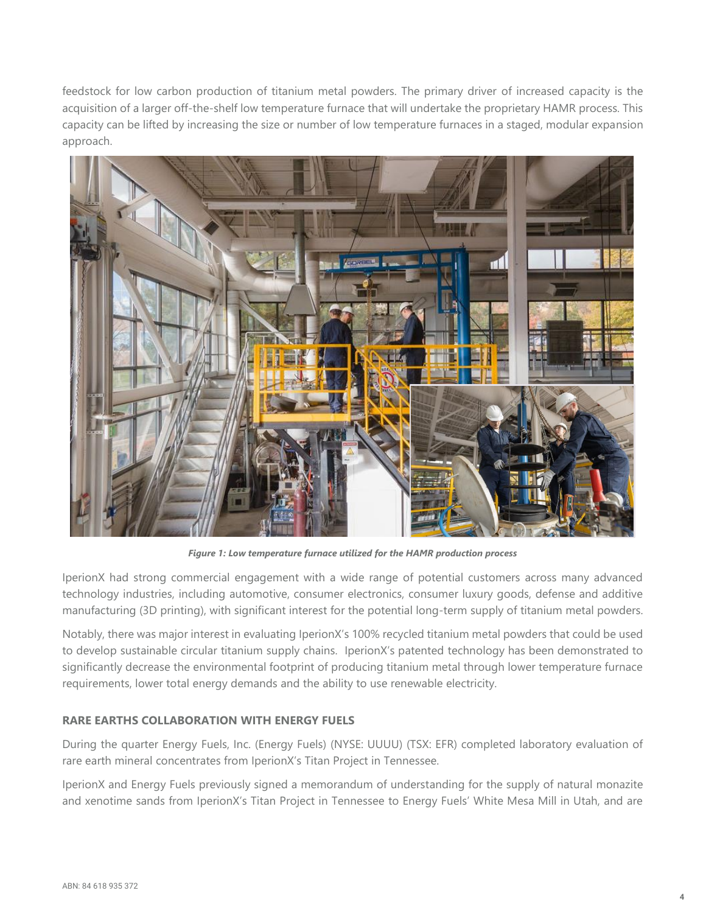feedstock for low carbon production of titanium metal powders. The primary driver of increased capacity is the acquisition of a larger off-the-shelf low temperature furnace that will undertake the proprietary HAMR process. This capacity can be lifted by increasing the size or number of low temperature furnaces in a staged, modular expansion approach.



*Figure 1: Low temperature furnace utilized for the HAMR production process* 

IperionX had strong commercial engagement with a wide range of potential customers across many advanced technology industries, including automotive, consumer electronics, consumer luxury goods, defense and additive manufacturing (3D printing), with significant interest for the potential long-term supply of titanium metal powders.

Notably, there was major interest in evaluating IperionX's 100% recycled titanium metal powders that could be used to develop sustainable circular titanium supply chains. IperionX's patented technology has been demonstrated to significantly decrease the environmental footprint of producing titanium metal through lower temperature furnace requirements, lower total energy demands and the ability to use renewable electricity.

### **RARE EARTHS COLLABORATION WITH ENERGY FUELS**

During the quarter Energy Fuels, Inc. (Energy Fuels) (NYSE: UUUU) (TSX: EFR) completed laboratory evaluation of rare earth mineral concentrates from IperionX's Titan Project in Tennessee.

IperionX and Energy Fuels previously signed a memorandum of understanding for the supply of natural monazite and xenotime sands from IperionX's Titan Project in Tennessee to Energy Fuels' White Mesa Mill in Utah, and are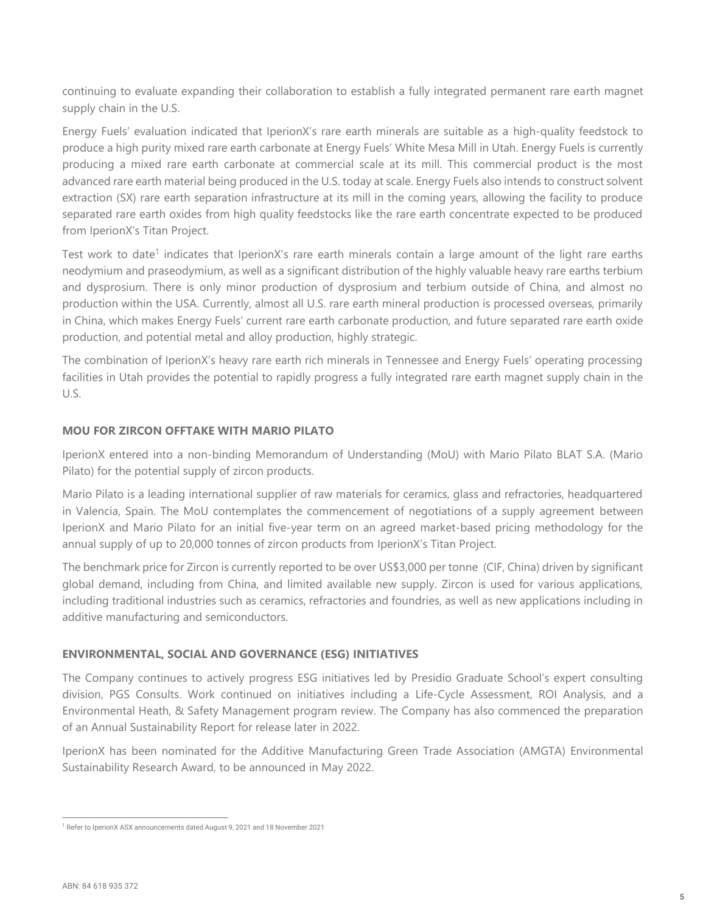continuing to evaluate expanding their collaboration to establish a fully integrated permanent rare earth magnet supply chain in the U.S.

Energy Fuels' evaluation indicated that IperionX's rare earth minerals are suitable as a high-quality feedstock to produce a high purity mixed rare earth carbonate at Energy Fuels' White Mesa Mill in Utah. Energy Fuels is currently producing a mixed rare earth carbonate at commercial scale at its mill. This commercial product is the most advanced rare earth material being produced in the U.S. today at scale. Energy Fuels also intends to construct solvent extraction (SX) rare earth separation infrastructure at its mill in the coming years, allowing the facility to produce separated rare earth oxides from high quality feedstocks like the rare earth concentrate expected to be produced from IperionX's Titan Project.

Test work to date<sup>1</sup> indicates that IperionX's rare earth minerals contain a large amount of the light rare earths neodymium and praseodymium, as well as a significant distribution of the highly valuable heavy rare earths terbium and dysprosium. There is only minor production of dysprosium and terbium outside of China, and almost no production within the USA. Currently, almost all U.S. rare earth mineral production is processed overseas, primarily in China, which makes Energy Fuels' current rare earth carbonate production, and future separated rare earth oxide production, and potential metal and alloy production, highly strategic.

The combination of IperionX's heavy rare earth rich minerals in Tennessee and Energy Fuels' operating processing facilities in Utah provides the potential to rapidly progress a fully integrated rare earth magnet supply chain in the U.S.

## **MOU FOR ZIRCON OFFTAKE WITH MARIO PILATO**

IperionX entered into a non-binding Memorandum of Understanding (MoU) with Mario Pilato BLAT S.A. (Mario Pilato) for the potential supply of zircon products.

Mario Pilato is a leading international supplier of raw materials for ceramics, glass and refractories, headquartered in Valencia, Spain. The MoU contemplates the commencement of negotiations of a supply agreement between IperionX and Mario Pilato for an initial five-year term on an agreed market-based pricing methodology for the annual supply of up to 20,000 tonnes of zircon products from IperionX's Titan Project.

The benchmark price for Zircon is currently reported to be over US\$3,000 per tonne (CIF, China) driven by significant global demand, including from China, and limited available new supply. Zircon is used for various applications, including traditional industries such as ceramics, refractories and foundries, as well as new applications including in additive manufacturing and semiconductors.

### **ENVIRONMENTAL, SOCIAL AND GOVERNANCE (ESG) INITIATIVES**

The Company continues to actively progress ESG initiatives led by Presidio Graduate School's expert consulting division, PGS Consults. Work continued on initiatives including a Life-Cycle Assessment, ROI Analysis, and a Environmental Heath, & Safety Management program review. The Company has also commenced the preparation of an Annual Sustainability Report for release later in 2022.

IperionX has been nominated for the Additive Manufacturing Green Trade Association (AMGTA) Environmental Sustainability Research Award, to be announced in May 2022.

<sup>1</sup> Refer to IperionX ASX announcements dated August 9, 2021 and 18 November 2021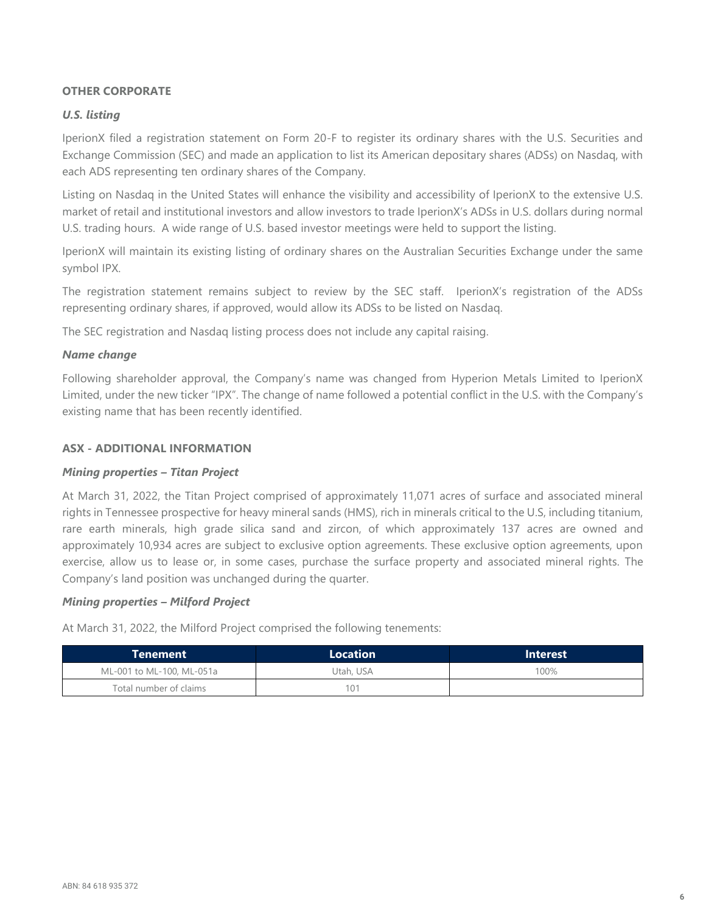## **OTHER CORPORATE**

### *U.S. listing*

IperionX filed a registration statement on Form 20-F to register its ordinary shares with the U.S. Securities and Exchange Commission (SEC) and made an application to list its American depositary shares (ADSs) on Nasdaq, with each ADS representing ten ordinary shares of the Company.

Listing on Nasdaq in the United States will enhance the visibility and accessibility of IperionX to the extensive U.S. market of retail and institutional investors and allow investors to trade IperionX's ADSs in U.S. dollars during normal U.S. trading hours. A wide range of U.S. based investor meetings were held to support the listing.

IperionX will maintain its existing listing of ordinary shares on the Australian Securities Exchange under the same symbol IPX.

The registration statement remains subject to review by the SEC staff. IperionX's registration of the ADSs representing ordinary shares, if approved, would allow its ADSs to be listed on Nasdaq.

The SEC registration and Nasdaq listing process does not include any capital raising.

### *Name change*

Following shareholder approval, the Company's name was changed from Hyperion Metals Limited to IperionX Limited, under the new ticker "IPX". The change of name followed a potential conflict in the U.S. with the Company's existing name that has been recently identified.

#### **ASX - ADDITIONAL INFORMATION**

### *Mining properties – Titan Project*

At March 31, 2022, the Titan Project comprised of approximately 11,071 acres of surface and associated mineral rights in Tennessee prospective for heavy mineral sands (HMS), rich in minerals critical to the U.S, including titanium, rare earth minerals, high grade silica sand and zircon, of which approximately 137 acres are owned and approximately 10,934 acres are subject to exclusive option agreements. These exclusive option agreements, upon exercise, allow us to lease or, in some cases, purchase the surface property and associated mineral rights. The Company's land position was unchanged during the quarter.

#### *Mining properties – Milford Project*

At March 31, 2022, the Milford Project comprised the following tenements:

| <b>Tenement</b>           | <b>Location</b> | <b>Interest</b> |
|---------------------------|-----------------|-----------------|
| ML-001 to ML-100, ML-051a | Utah, USA       | 100%            |
| Total number of claims    | 101             |                 |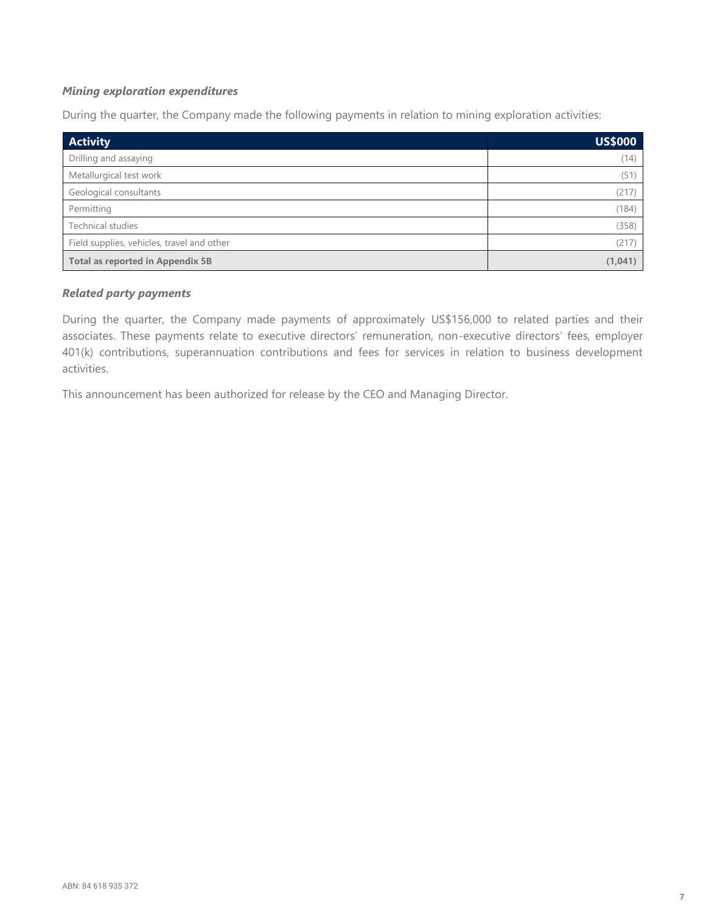## *Mining exploration expenditures*

During the quarter, the Company made the following payments in relation to mining exploration activities:

| <b>Activity</b>                            | <b>US\$000</b> |
|--------------------------------------------|----------------|
| Drilling and assaying                      | (14)           |
| Metallurgical test work                    | (51)           |
| Geological consultants                     | (217)          |
| Permitting                                 | (184)          |
| Technical studies                          | (358)          |
| Field supplies, vehicles, travel and other | (217)          |
| <b>Total as reported in Appendix 5B</b>    | (1,041)        |

## *Related party payments*

During the quarter, the Company made payments of approximately US\$156,000 to related parties and their associates. These payments relate to executive directors' remuneration, non-executive directors' fees, employer 401(k) contributions, superannuation contributions and fees for services in relation to business development activities.

This announcement has been authorized for release by the CEO and Managing Director.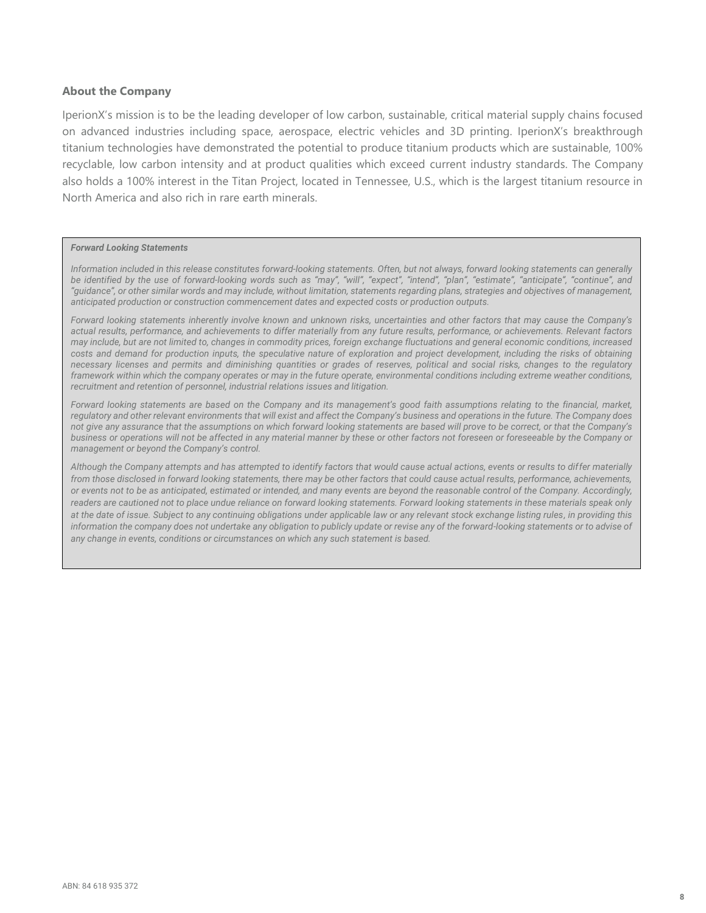#### **About the Company**

IperionX's mission is to be the leading developer of low carbon, sustainable, critical material supply chains focused on advanced industries including space, aerospace, electric vehicles and 3D printing. IperionX's breakthrough titanium technologies have demonstrated the potential to produce titanium products which are sustainable, 100% recyclable, low carbon intensity and at product qualities which exceed current industry standards. The Company also holds a 100% interest in the Titan Project, located in Tennessee, U.S., which is the largest titanium resource in North America and also rich in rare earth minerals.

#### *Forward Looking Statements*

Information included in this release constitutes forward-looking statements. Often, but not always, forward looking statements can generally be identified by the use of forward-looking words such as "may", "will", "expect", "intend", "plan", "estimate", "anticipate", "continue", and "guidance", or other similar words and may include, without limitation, statements regarding plans, strategies and objectives of management, *anticipated production or construction commencement dates and expected costs or production outputs.*

Forward looking statements inherently involve known and unknown risks, uncertainties and other factors that may cause the Company's actual results, performance, and achievements to differ materially from any future results, performance, or achievements. Relevant factors may include, but are not limited to, changes in commodity prices, foreign exchange fluctuations and general economic conditions, increased costs and demand for production inputs, the speculative nature of exploration and project development, including the risks of obtaining necessary licenses and permits and diminishing quantities or grades of reserves, political and social risks, changes to the regulatory framework within which the company operates or may in the future operate, environmental conditions including extreme weather conditions, *recruitment and retention of personnel, industrial relations issues and litigation.*

Forward looking statements are based on the Company and its management's good faith assumptions relating to the financial, market, regulatory and other relevant environments that will exist and affect the Company's business and operations in the future. The Company does not give any assurance that the assumptions on which forward looking statements are based will prove to be correct, or that the Company's business or operations will not be affected in any material manner by these or other factors not foreseen or foreseeable by the Company or *management or beyond the Company's control.*

*Although the Company attempts and has attempted to identify factors that would cause actual actions, events or results to differ materially from those disclosed in forward looking statements, there may be other factors that could cause actual results, performance, achievements, or events not to be as anticipated, estimated or intended, and many events are beyond the reasonable control of the Company. Accordingly,*  readers are cautioned not to place undue reliance on forward looking statements. Forward looking statements in these materials speak only *at the date of issue. Subject to any continuing obligations under applicable law or any relevant stock exchange listing rules, in providing this*  information the company does not undertake any obligation to publicly update or revise any of the forward-looking statements or to advise of *any change in events, conditions or circumstances on which any such statement is based.*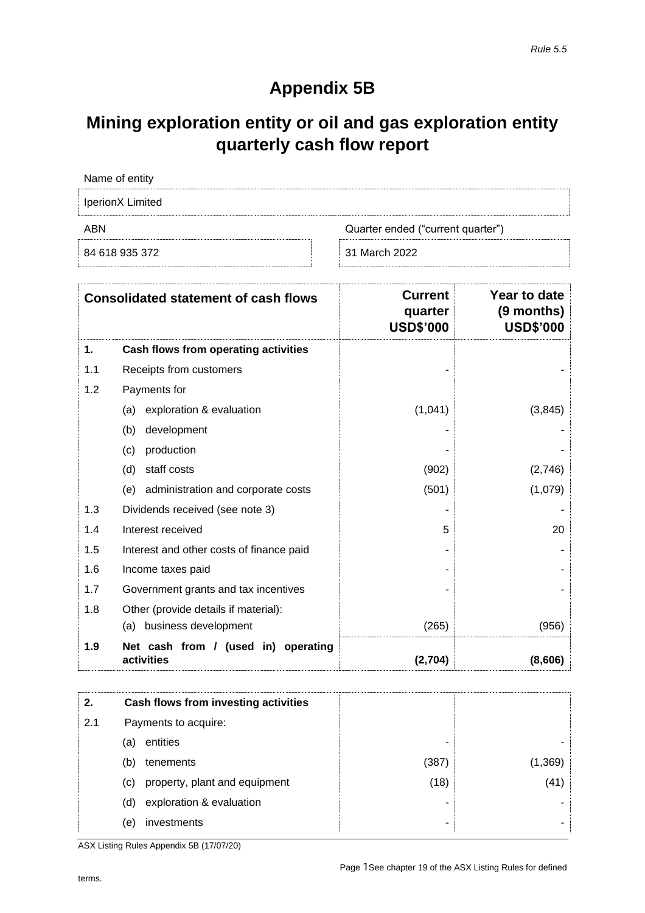# **Appendix 5B**

# **Mining exploration entity or oil and gas exploration entity quarterly cash flow report**

| Name of entity                           |               |  |
|------------------------------------------|---------------|--|
| IperionX Limited                         |               |  |
| ABN<br>Quarter ended ("current quarter") |               |  |
| 84 618 935 372                           | 31 March 2022 |  |

|     | <b>Consolidated statement of cash flows</b>       | <b>Current</b><br>quarter<br><b>USD\$'000</b> | Year to date<br>(9 months)<br><b>USD\$'000</b> |
|-----|---------------------------------------------------|-----------------------------------------------|------------------------------------------------|
| 1.  | Cash flows from operating activities              |                                               |                                                |
| 1.1 | Receipts from customers                           |                                               |                                                |
| 1.2 | Payments for                                      |                                               |                                                |
|     | exploration & evaluation<br>(a)                   | (1,041)                                       | (3, 845)                                       |
|     | development<br>(b)                                |                                               |                                                |
|     | production<br>(c)                                 |                                               |                                                |
|     | staff costs<br>(d)                                | (902)                                         | (2,746)                                        |
|     | administration and corporate costs<br>(e)         | (501)                                         | (1,079)                                        |
| 1.3 | Dividends received (see note 3)                   |                                               |                                                |
| 1.4 | Interest received                                 | 5                                             | 20                                             |
| 1.5 | Interest and other costs of finance paid          |                                               |                                                |
| 1.6 | Income taxes paid                                 |                                               |                                                |
| 1.7 | Government grants and tax incentives              |                                               |                                                |
| 1.8 | Other (provide details if material):              |                                               |                                                |
|     | (a) business development                          | (265)                                         | (956)                                          |
| 1.9 | Net cash from / (used in) operating<br>activities | (2,704)                                       | (8,606)                                        |

| 2.  | Cash flows from investing activities                |       |         |
|-----|-----------------------------------------------------|-------|---------|
| 2.1 | Payments to acquire:                                |       |         |
|     | entities<br>(a)                                     | -     |         |
|     | tenements<br>(b)                                    | (387) | (1,369) |
|     | property, plant and equipment<br>$\left( c \right)$ | (18)  | (41)    |
|     | exploration & evaluation<br>(d)                     | -     |         |
|     | investments<br>(e)                                  | -     |         |

ASX Listing Rules Appendix 5B (17/07/20)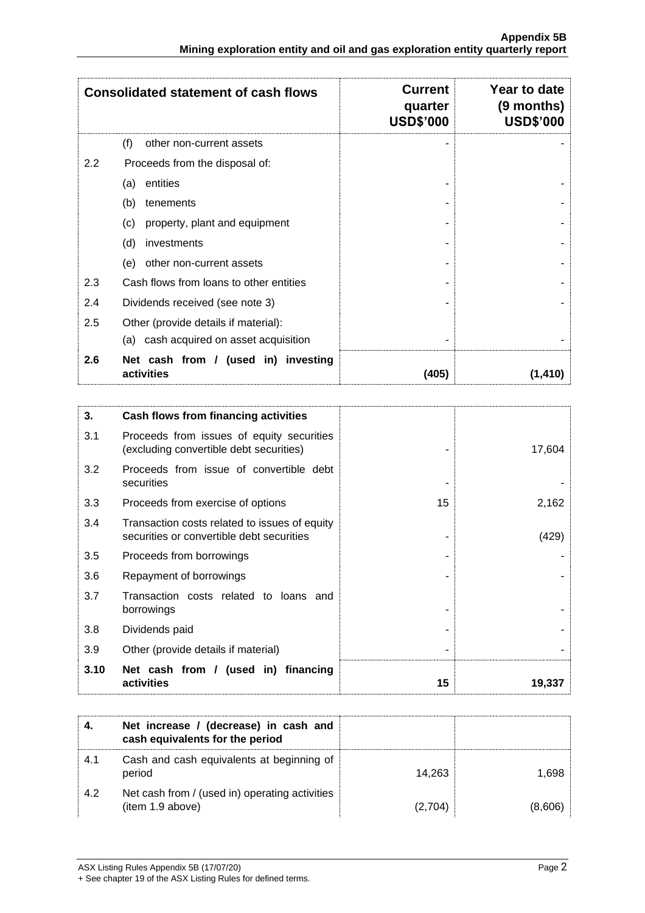|     | <b>Consolidated statement of cash flows</b>       | <b>Current</b><br>quarter<br><b>USD\$'000</b> | Year to date<br>(9 months)<br><b>USD\$'000</b> |
|-----|---------------------------------------------------|-----------------------------------------------|------------------------------------------------|
|     | (f)<br>other non-current assets                   |                                               |                                                |
| 2.2 | Proceeds from the disposal of:                    |                                               |                                                |
|     | entities<br>(a)                                   |                                               |                                                |
|     | (b)<br>tenements                                  |                                               |                                                |
|     | (c)<br>property, plant and equipment              |                                               |                                                |
|     | (d)<br>investments                                |                                               |                                                |
|     | (e)<br>other non-current assets                   |                                               |                                                |
| 2.3 | Cash flows from loans to other entities           |                                               |                                                |
| 2.4 | Dividends received (see note 3)                   |                                               |                                                |
| 2.5 | Other (provide details if material):              |                                               |                                                |
|     | cash acquired on asset acquisition<br>(a)         |                                               |                                                |
| 2.6 | Net cash from / (used in) investing<br>activities | (405)                                         | (1,410)                                        |

| 3.   | Cash flows from financing activities                                                       |    |        |
|------|--------------------------------------------------------------------------------------------|----|--------|
| 3.1  | Proceeds from issues of equity securities<br>(excluding convertible debt securities)       |    | 17,604 |
| 3.2  | Proceeds from issue of convertible debt<br>securities                                      |    |        |
| 3.3  | Proceeds from exercise of options                                                          | 15 | 2,162  |
| 3.4  | Transaction costs related to issues of equity<br>securities or convertible debt securities |    | (429)  |
| 3.5  | Proceeds from borrowings                                                                   |    |        |
| 3.6  | Repayment of borrowings                                                                    |    |        |
| 3.7  | Transaction costs related to loans and<br>borrowings                                       |    |        |
| 3.8  | Dividends paid                                                                             |    |        |
| 3.9  | Other (provide details if material)                                                        |    |        |
| 3.10 | Net cash from / (used in) financing<br>activities                                          | 15 | 19,337 |

|     | Net increase / (decrease) in cash and<br>cash equivalents for the period |         |         |
|-----|--------------------------------------------------------------------------|---------|---------|
| 4.1 | Cash and cash equivalents at beginning of<br>period                      | 14.263  | 1.698   |
| 4.2 | Net cash from / (used in) operating activities<br>(item 1.9 above)       | (2.704) | (8,606) |

<sup>+</sup> See chapter 19 of the ASX Listing Rules for defined terms.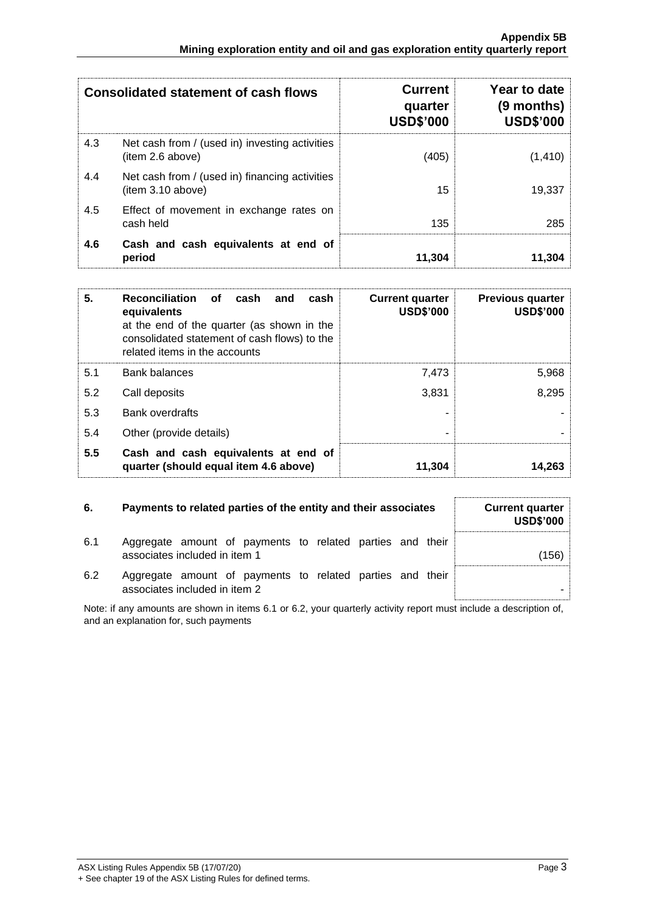|     | <b>Consolidated statement of cash flows</b>                        | <b>Current</b><br>quarter<br><b>USD\$'000</b> | Year to date<br>(9 months)<br><b>USD\$'000</b> |
|-----|--------------------------------------------------------------------|-----------------------------------------------|------------------------------------------------|
| 4.3 | Net cash from / (used in) investing activities<br>(item 2.6 above) | (405)                                         | (1, 410)                                       |
| 4.4 | Net cash from / (used in) financing activities<br>item 3.10 above) | 15                                            | 19,337                                         |
| 4.5 | Effect of movement in exchange rates on<br>cash held               | 135                                           | 285                                            |
| 4.6 | Cash and cash equivalents at end of<br>period                      | 11,304                                        | 11,304                                         |

| 5.  | <b>Reconciliation</b><br>cash<br>of<br>cash<br>and<br>equivalents<br>at the end of the quarter (as shown in the<br>consolidated statement of cash flows) to the<br>related items in the accounts | <b>Current quarter</b><br><b>USD\$'000</b> | <b>Previous quarter</b><br><b>USD\$'000</b> |
|-----|--------------------------------------------------------------------------------------------------------------------------------------------------------------------------------------------------|--------------------------------------------|---------------------------------------------|
| 5.1 | <b>Bank balances</b>                                                                                                                                                                             | 7,473                                      | 5,968                                       |
| 5.2 | Call deposits                                                                                                                                                                                    | 3,831                                      | 8,295                                       |
| 5.3 | <b>Bank overdrafts</b>                                                                                                                                                                           |                                            |                                             |
| 5.4 | Other (provide details)                                                                                                                                                                          | -                                          |                                             |
| 5.5 | Cash and cash equivalents at end of<br>quarter (should equal item 4.6 above)                                                                                                                     | 11,304                                     | 14.263                                      |

| 6.  | Payments to related parties of the entity and their associates                             | <b>Current quarter</b><br><b>USD\$'000</b> |
|-----|--------------------------------------------------------------------------------------------|--------------------------------------------|
| 6.1 | Aggregate amount of payments to related parties and their<br>associates included in item 1 | (156)                                      |
| 6.2 | Aggregate amount of payments to related parties and their<br>associates included in item 2 |                                            |

Note: if any amounts are shown in items 6.1 or 6.2, your quarterly activity report must include a description of, and an explanation for, such payments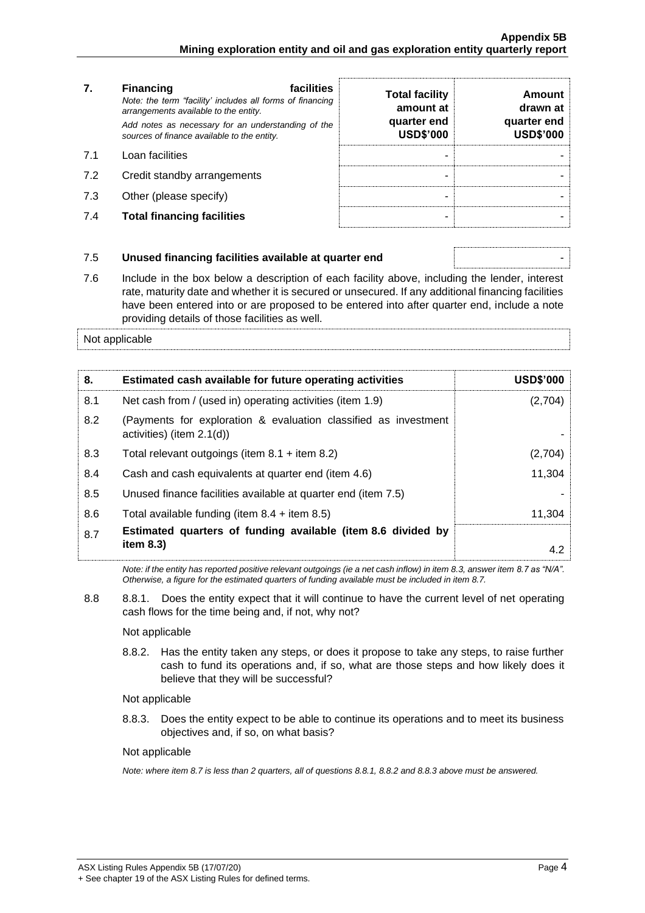| 7.  | <b>Financing</b><br><b>facilities</b><br>Note: the term "facility' includes all forms of financing<br>arrangements available to the entity.<br>Add notes as necessary for an understanding of the<br>sources of finance available to the entity. | <b>Total facility</b><br>amount at<br>quarter end<br><b>USD\$'000</b> | Amount<br>drawn at<br>quarter end<br><b>USD\$'000</b> |
|-----|--------------------------------------------------------------------------------------------------------------------------------------------------------------------------------------------------------------------------------------------------|-----------------------------------------------------------------------|-------------------------------------------------------|
| 7.1 | Loan facilities                                                                                                                                                                                                                                  |                                                                       |                                                       |
| 7.2 | Credit standby arrangements                                                                                                                                                                                                                      |                                                                       |                                                       |
| 7.3 | Other (please specify)                                                                                                                                                                                                                           |                                                                       |                                                       |
| 7.4 | <b>Total financing facilities</b>                                                                                                                                                                                                                |                                                                       |                                                       |

| 7.5 | Unused financing facilities available at quarter end |  |
|-----|------------------------------------------------------|--|
|     |                                                      |  |

7.6 Include in the box below a description of each facility above, including the lender, interest rate, maturity date and whether it is secured or unsecured. If any additional financing facilities have been entered into or are proposed to be entered into after quarter end, include a note providing details of those facilities as well.

Not applicable

| 8.  | Estimated cash available for future operating activities                                     | <b>USD\$'000</b> |
|-----|----------------------------------------------------------------------------------------------|------------------|
| 8.1 | Net cash from / (used in) operating activities (item 1.9)                                    | (2,704)          |
| 8.2 | (Payments for exploration & evaluation classified as investment<br>activities) (item 2.1(d)) |                  |
| 8.3 | Total relevant outgoings (item $8.1$ + item $8.2$ )                                          | (2,704)          |
| 8.4 | Cash and cash equivalents at quarter end (item 4.6)                                          | 11.304           |
| 8.5 | Unused finance facilities available at quarter end (item 7.5)                                |                  |
| 8.6 | Total available funding (item $8.4 +$ item $8.5$ )                                           | 11.304           |
| 8.7 | Estimated quarters of funding available (item 8.6 divided by<br>item $8.3$ )                 | 4.2              |

*Note: if the entity has reported positive relevant outgoings (ie a net cash inflow) in item 8.3, answer item 8.7 as "N/A". Otherwise, a figure for the estimated quarters of funding available must be included in item 8.7.*

8.8 8.8.1. Does the entity expect that it will continue to have the current level of net operating cash flows for the time being and, if not, why not?

#### Not applicable

8.8.2. Has the entity taken any steps, or does it propose to take any steps, to raise further cash to fund its operations and, if so, what are those steps and how likely does it believe that they will be successful?

#### Not applicable

8.8.3. Does the entity expect to be able to continue its operations and to meet its business objectives and, if so, on what basis?

#### Not applicable

*Note: where item 8.7 is less than 2 quarters, all of questions 8.8.1, 8.8.2 and 8.8.3 above must be answered.*

## ASX Listing Rules Appendix 5B (17/07/20) **Page 4** and the state of the state of the state of the state of the state of the state of the state of the state of the state of the state of the state of the state of the state of

+ See chapter 19 of the ASX Listing Rules for defined terms.